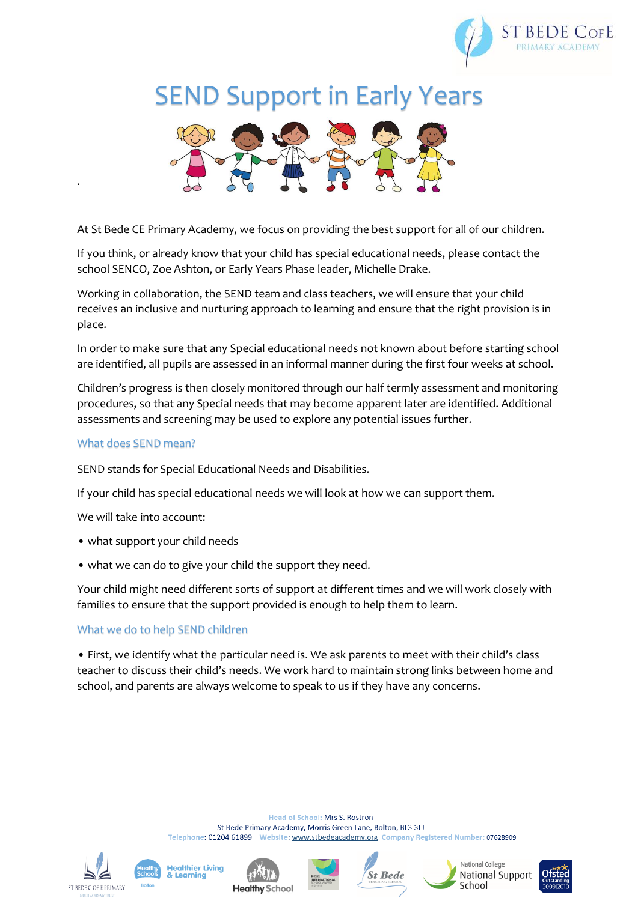

# SEND Support in Early Years



At St Bede CE Primary Academy, we focus on providing the best support for all of our children.

If you think, or already know that your child has special educational needs, please contact the school SENCO, Zoe Ashton, or Early Years Phase leader, Michelle Drake.

Working in collaboration, the SEND team and class teachers, we will ensure that your child receives an inclusive and nurturing approach to learning and ensure that the right provision is in place.

In order to make sure that any Special educational needs not known about before starting school are identified, all pupils are assessed in an informal manner during the first four weeks at school.

Children's progress is then closely monitored through our half termly assessment and monitoring procedures, so that any Special needs that may become apparent later are identified. Additional assessments and screening may be used to explore any potential issues further.

### What does SEND mean?

.

SEND stands for Special Educational Needs and Disabilities.

If your child has special educational needs we will look at how we can support them.

We will take into account:

- what support your child needs
- what we can do to give your child the support they need.

Your child might need different sorts of support at different times and we will work closely with families to ensure that the support provided is enough to help them to learn.

## What we do to help SEND children

• First, we identify what the particular need is. We ask parents to meet with their child's class teacher to discuss their child's needs. We work hard to maintain strong links between home and school, and parents are always welcome to speak to us if they have any concerns.

> **Head of School: Mrs S. Rostron** St Bede Primary Academy, Morris Green Lane, Bolton, BL3 3LJ Telephone: 01204 61899 Website: www.stbedeacademy.org Company Registered Number: 07628909